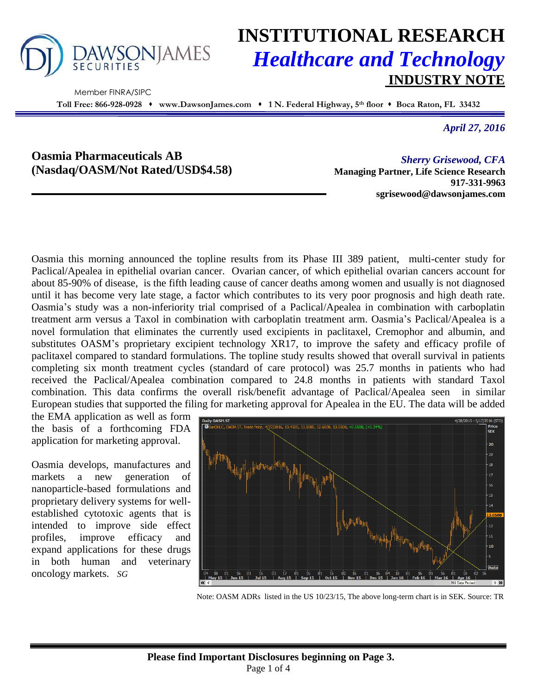

Member FINRA/SIPC

# **INSTITUTIONAL RESEARCH** *Healthcare and Technology* **INDUSTRY NOTE**

**Toll Free: 866-928-0928 www.DawsonJames.com 1 N. Federal Highway, 5 th floor Boca Raton, FL 33432**

*April 27, 2016*

## **Oasmia Pharmaceuticals AB (Nasdaq/OASM/Not Rated/USD\$4.58)**

*Sherry Grisewood, CFA* **Managing Partner, Life Science Research 917-331-9963 sgrisewood@dawsonjames.com**

Oasmia this morning announced the topline results from its Phase III 389 patient, multi-center study for Paclical/Apealea in epithelial ovarian cancer. Ovarian cancer, of which epithelial ovarian cancers account for about 85-90% of disease, is the fifth leading cause of cancer deaths among women and usually is not diagnosed until it has become very late stage, a factor which contributes to its very poor prognosis and high death rate. Oasmia's study was a non-inferiority trial comprised of a Paclical/Apealea in combination with carboplatin treatment arm versus a Taxol in combination with carboplatin treatment arm. Oasmia's Paclical/Apealea is a novel formulation that eliminates the currently used excipients in paclitaxel, Cremophor and albumin, and substitutes OASM's proprietary excipient technology XR17, to improve the safety and efficacy profile of paclitaxel compared to standard formulations. The topline study results showed that overall survival in patients completing six month treatment cycles (standard of care protocol) was 25.7 months in patients who had received the Paclical/Apealea combination compared to 24.8 months in patients with standard Taxol combination. This data confirms the overall risk/benefit advantage of Paclical/Apealea seen in similar European studies that supported the filing for marketing approval for Apealea in the EU. The data will be added

the EMA application as well as form the basis of a forthcoming FDA application for marketing approval.

Oasmia develops, manufactures and markets a new generation of nanoparticle-based formulations and proprietary delivery systems for wellestablished cytotoxic agents that is intended to improve side effect profiles, improve efficacy and expand applications for these drugs in both human and veterinary oncology markets. *SG*



Note: OASM ADRs listed in the US 10/23/15, The above long-term chart is in SEK. Source: TR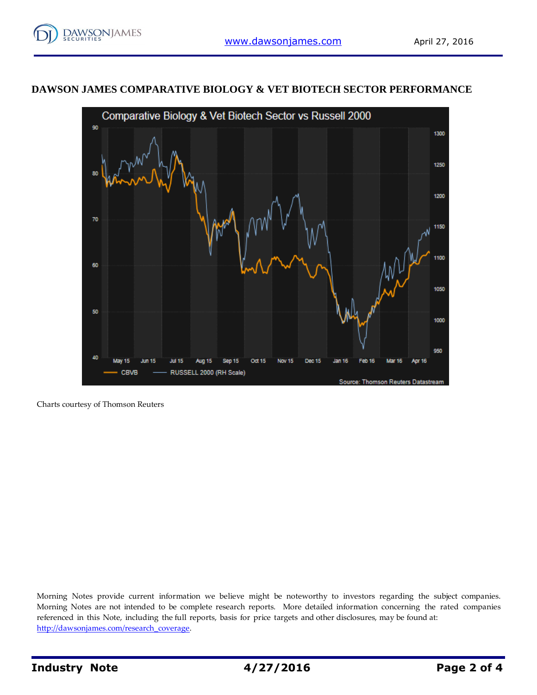### **DAWSON JAMES COMPARATIVE BIOLOGY & VET BIOTECH SECTOR PERFORMANCE**



Charts courtesy of Thomson Reuters

Morning Notes provide current information we believe might be noteworthy to investors regarding the subject companies. Morning Notes are not intended to be complete research reports. More detailed information concerning the rated companies referenced in this Note, including the full reports, basis for price targets and other disclosures, may be found at: [http://dawsonjames.com/research\\_coverage.](http://dawsonjames.com/research_coverage)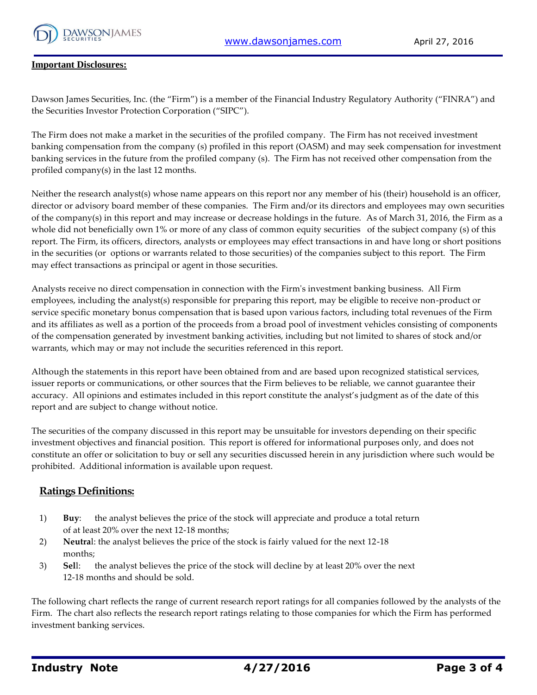

#### **Important Disclosures:**

Dawson James Securities, Inc. (the "Firm") is a member of the Financial Industry Regulatory Authority ("FINRA") and the Securities Investor Protection Corporation ("SIPC").

The Firm does not make a market in the securities of the profiled company. The Firm has not received investment banking compensation from the company (s) profiled in this report (OASM) and may seek compensation for investment banking services in the future from the profiled company (s). The Firm has not received other compensation from the profiled company(s) in the last 12 months.

Neither the research analyst(s) whose name appears on this report nor any member of his (their) household is an officer, director or advisory board member of these companies. The Firm and/or its directors and employees may own securities of the company(s) in this report and may increase or decrease holdings in the future. As of March 31, 2016, the Firm as a whole did not beneficially own 1% or more of any class of common equity securities of the subject company (s) of this report. The Firm, its officers, directors, analysts or employees may effect transactions in and have long or short positions in the securities (or options or warrants related to those securities) of the companies subject to this report. The Firm may effect transactions as principal or agent in those securities.

Analysts receive no direct compensation in connection with the Firm's investment banking business. All Firm employees, including the analyst(s) responsible for preparing this report, may be eligible to receive non-product or service specific monetary bonus compensation that is based upon various factors, including total revenues of the Firm and its affiliates as well as a portion of the proceeds from a broad pool of investment vehicles consisting of components of the compensation generated by investment banking activities, including but not limited to shares of stock and/or warrants, which may or may not include the securities referenced in this report.

Although the statements in this report have been obtained from and are based upon recognized statistical services, issuer reports or communications, or other sources that the Firm believes to be reliable, we cannot guarantee their accuracy. All opinions and estimates included in this report constitute the analyst's judgment as of the date of this report and are subject to change without notice.

The securities of the company discussed in this report may be unsuitable for investors depending on their specific investment objectives and financial position. This report is offered for informational purposes only, and does not constitute an offer or solicitation to buy or sell any securities discussed herein in any jurisdiction where such would be prohibited. Additional information is available upon request.

#### **Ratings Definitions:**

- 1) **Buy**: the analyst believes the price of the stock will appreciate and produce a total return of at least 20% over the next 12-18 months;
- 2) **Neutra**l: the analyst believes the price of the stock is fairly valued for the next 12-18 months;
- 3) **Sel**l: the analyst believes the price of the stock will decline by at least 20% over the next 12-18 months and should be sold.

The following chart reflects the range of current research report ratings for all companies followed by the analysts of the Firm. The chart also reflects the research report ratings relating to those companies for which the Firm has performed investment banking services.